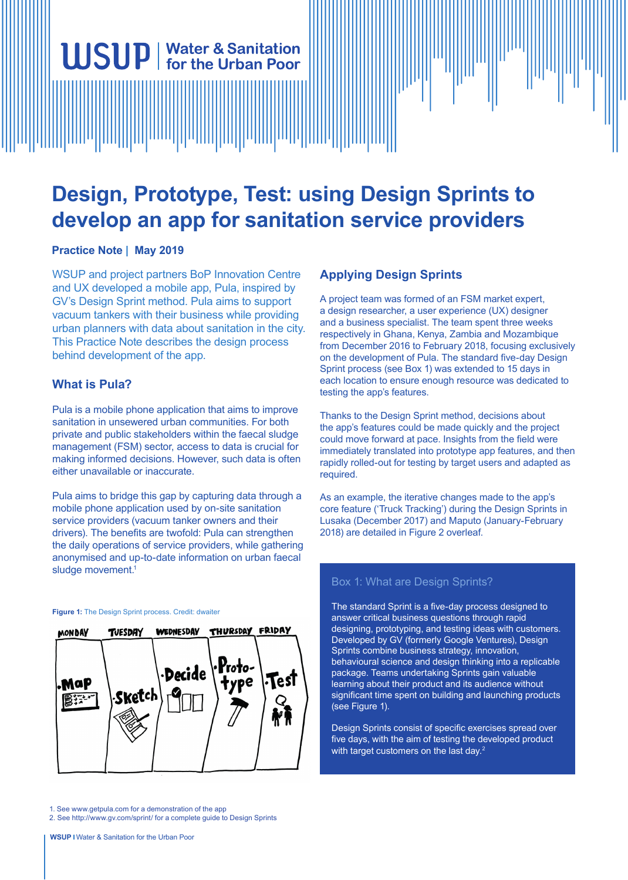# **Design, Prototype, Test: using Design Sprints to develop an app for sanitation service providers**

## **Practice Note | May 2019**

WSUP and project partners BoP Innovation Centre and UX developed a mobile app, Pula, inspired by GV's Design Sprint method. Pula aims to support vacuum tankers with their business while providing urban planners with data about sanitation in the city. This Practice Note describes the design process behind development of the app.

**WSUP** | Water & Sanitation

## **What is Pula?**

Pula is a mobile phone application that aims to improve sanitation in unsewered urban communities. For both private and public stakeholders within the faecal sludge management (FSM) sector, access to data is crucial for making informed decisions. However, such data is often either unavailable or inaccurate.

Pula aims to bridge this gap by capturing data through a mobile phone application used by on-site sanitation service providers (vacuum tanker owners and their drivers). The benefits are twofold: Pula can strengthen the daily operations of service providers, while gathering anonymised and up-to-date information on urban faecal sludge movement.<sup>1</sup>

#### **Figure 1:** The Design Sprint process. Credit: dwaiter



1. See www.getpula.com for a demonstration of the app

2. See http://www.gv.com/sprint/ for a complete guide to Design Sprints

## **Applying Design Sprints**

A project team was formed of an FSM market expert, a design researcher, a user experience (UX) designer and a business specialist. The team spent three weeks respectively in Ghana, Kenya, Zambia and Mozambique from December 2016 to February 2018, focusing exclusively on the development of Pula. The standard five-day Design Sprint process (see Box 1) was extended to 15 days in each location to ensure enough resource was dedicated to testing the app's features.

Thanks to the Design Sprint method, decisions about the app's features could be made quickly and the project could move forward at pace. Insights from the field were immediately translated into prototype app features, and then rapidly rolled-out for testing by target users and adapted as required.

As an example, the iterative changes made to the app's core feature ('Truck Tracking') during the Design Sprints in Lusaka (December 2017) and Maputo (January-February 2018) are detailed in Figure 2 overleaf.

## Box 1: What are Design Sprints?

The standard Sprint is a five-day process designed to answer critical business questions through rapid designing, prototyping, and testing ideas with customers. Developed by GV (formerly Google Ventures), Design Sprints combine business strategy, innovation, behavioural science and design thinking into a replicable package. Teams undertaking Sprints gain valuable learning about their product and its audience without significant time spent on building and launching products (see Figure 1).

Design Sprints consist of specific exercises spread over five days, with the aim of testing the developed product with target customers on the last day.<sup>2</sup>